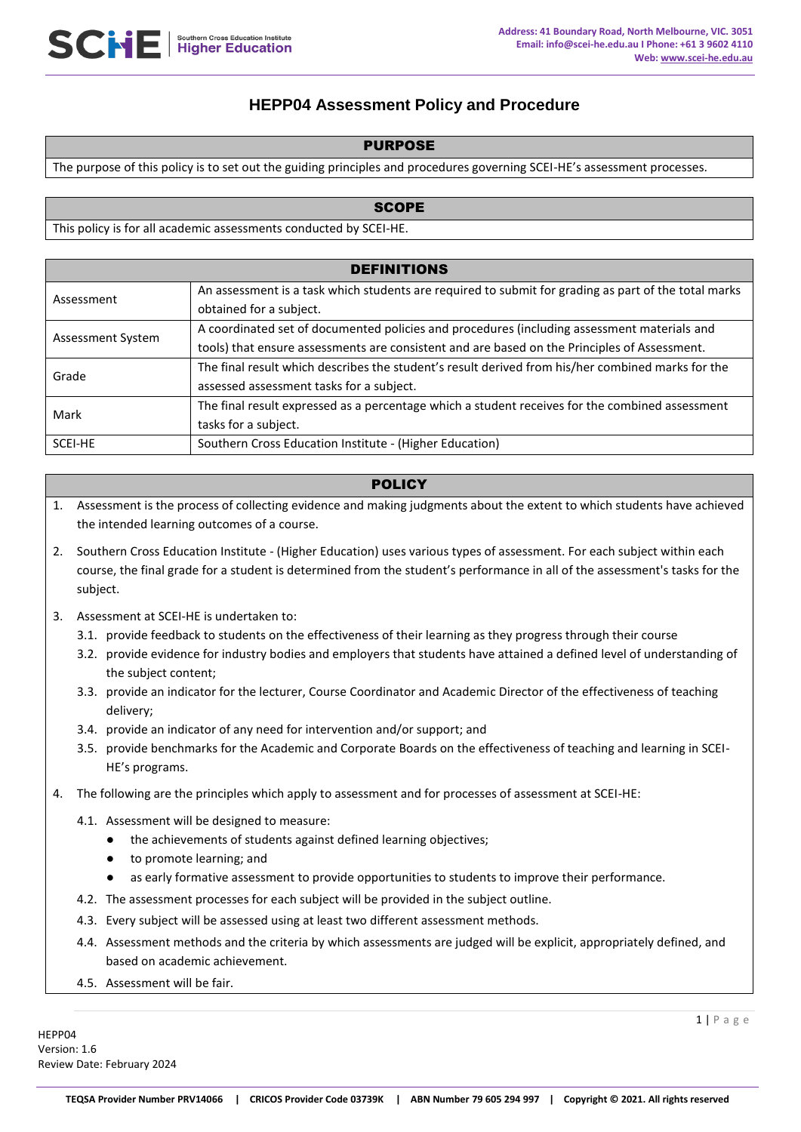# **HEPP04 Assessment Policy and Procedure**

## PURPOSE

The purpose of this policy is to set out the guiding principles and procedures governing SCEI-HE's assessment processes.

### **SCOPE**

This policy is for all academic assessments conducted by SCEI-HE.

| <b>DEFINITIONS</b> |                                                                                                      |  |  |
|--------------------|------------------------------------------------------------------------------------------------------|--|--|
| Assessment         | An assessment is a task which students are required to submit for grading as part of the total marks |  |  |
|                    | obtained for a subject.                                                                              |  |  |
| Assessment System  | A coordinated set of documented policies and procedures (including assessment materials and          |  |  |
|                    | tools) that ensure assessments are consistent and are based on the Principles of Assessment.         |  |  |
| Grade              | The final result which describes the student's result derived from his/her combined marks for the    |  |  |
|                    | assessed assessment tasks for a subject.                                                             |  |  |
| Mark               | The final result expressed as a percentage which a student receives for the combined assessment      |  |  |
|                    | tasks for a subject.                                                                                 |  |  |
| SCEI-HE            | Southern Cross Education Institute - (Higher Education)                                              |  |  |

## POLICY

- 1. Assessment is the process of collecting evidence and making judgments about the extent to which students have achieved the intended learning outcomes of a course.
- 2. Southern Cross Education Institute (Higher Education) uses various types of assessment. For each subject within each course, the final grade for a student is determined from the student's performance in all of the assessment's tasks for the subject.
- 3. Assessment at SCEI-HE is undertaken to:
	- 3.1. provide feedback to students on the effectiveness of their learning as they progress through their course
	- 3.2. provide evidence for industry bodies and employers that students have attained a defined level of understanding of the subject content;
	- 3.3. provide an indicator for the lecturer, Course Coordinator and Academic Director of the effectiveness of teaching delivery;
	- 3.4. provide an indicator of any need for intervention and/or support; and
	- 3.5. provide benchmarks for the Academic and Corporate Boards on the effectiveness of teaching and learning in SCEI-HE's programs.
- 4. The following are the principles which apply to assessment and for processes of assessment at SCEI-HE:
	- 4.1. Assessment will be designed to measure:
		- the achievements of students against defined learning objectives;
		- to promote learning; and
		- as early formative assessment to provide opportunities to students to improve their performance.
	- 4.2. The assessment processes for each subject will be provided in the subject outline.
	- 4.3. Every subject will be assessed using at least two different assessment methods.
	- 4.4. Assessment methods and the criteria by which assessments are judged will be explicit, appropriately defined, and based on academic achievement.
	- 4.5. Assessment will be fair.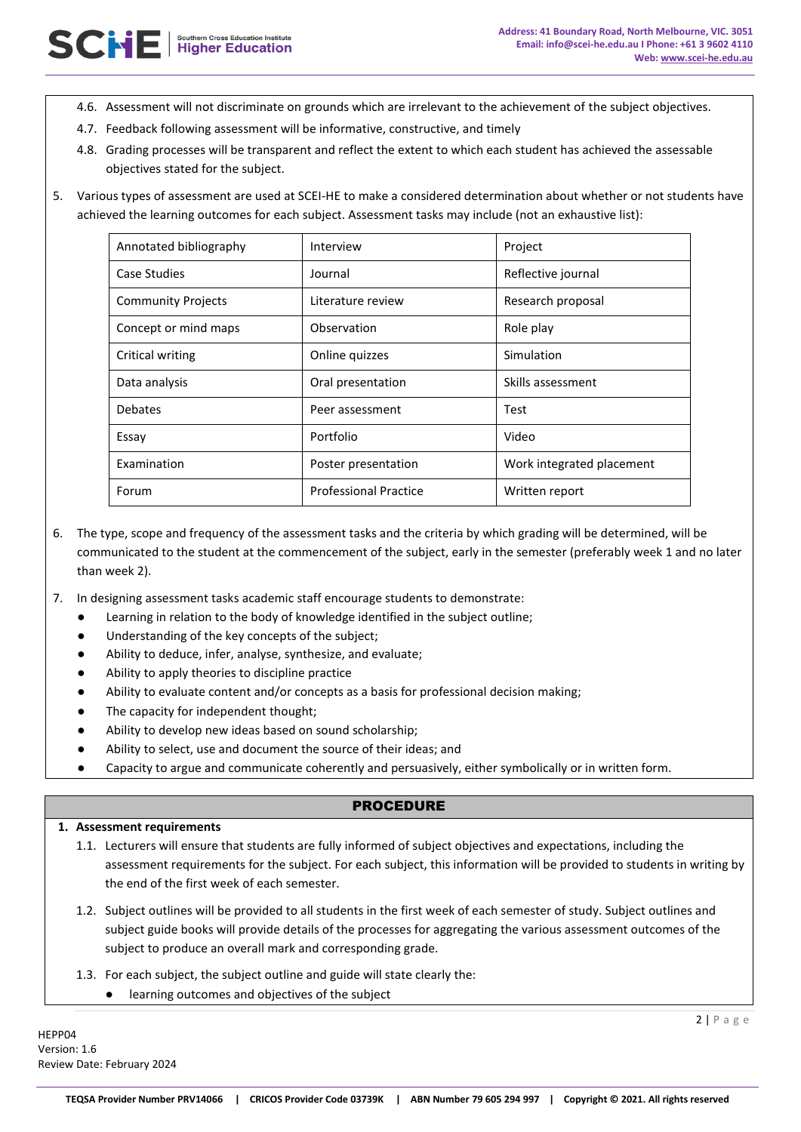- 4.6. Assessment will not discriminate on grounds which are irrelevant to the achievement of the subject objectives.
- 4.7. Feedback following assessment will be informative, constructive, and timely
- 4.8. Grading processes will be transparent and reflect the extent to which each student has achieved the assessable objectives stated for the subject.
- 5. Various types of assessment are used at SCEI-HE to make a considered determination about whether or not students have achieved the learning outcomes for each subject. Assessment tasks may include (not an exhaustive list):

| Annotated bibliography    | Interview                    | Project                   |
|---------------------------|------------------------------|---------------------------|
| Case Studies              | Journal                      | Reflective journal        |
| <b>Community Projects</b> | Literature review            | Research proposal         |
| Concept or mind maps      | Observation                  | Role play                 |
| Critical writing          | Online quizzes               | Simulation                |
| Data analysis             | Oral presentation            | Skills assessment         |
| <b>Debates</b>            | Peer assessment              | Test                      |
| Essay                     | Portfolio                    | Video                     |
| Examination               | Poster presentation          | Work integrated placement |
| Forum                     | <b>Professional Practice</b> | Written report            |

- 6. The type, scope and frequency of the assessment tasks and the criteria by which grading will be determined, will be communicated to the student at the commencement of the subject, early in the semester (preferably week 1 and no later than week 2).
- 7. In designing assessment tasks academic staff encourage students to demonstrate:
	- Learning in relation to the body of knowledge identified in the subject outline;
	- Understanding of the key concepts of the subject;
	- Ability to deduce, infer, analyse, synthesize, and evaluate;
	- Ability to apply theories to discipline practice
	- Ability to evaluate content and/or concepts as a basis for professional decision making;
	- The capacity for independent thought;
	- Ability to develop new ideas based on sound scholarship;
	- Ability to select, use and document the source of their ideas; and
	- Capacity to argue and communicate coherently and persuasively, either symbolically or in written form.

## PROCEDURE

#### **1. Assessment requirements**

- 1.1. Lecturers will ensure that students are fully informed of subject objectives and expectations, including the assessment requirements for the subject. For each subject, this information will be provided to students in writing by the end of the first week of each semester.
- 1.2. Subject outlines will be provided to all students in the first week of each semester of study. Subject outlines and subject guide books will provide details of the processes for aggregating the various assessment outcomes of the subject to produce an overall mark and corresponding grade.
- 1.3. For each subject, the subject outline and guide will state clearly the:
	- learning outcomes and objectives of the subject

HEPP04 Version: 1.6 Review Date: February 2024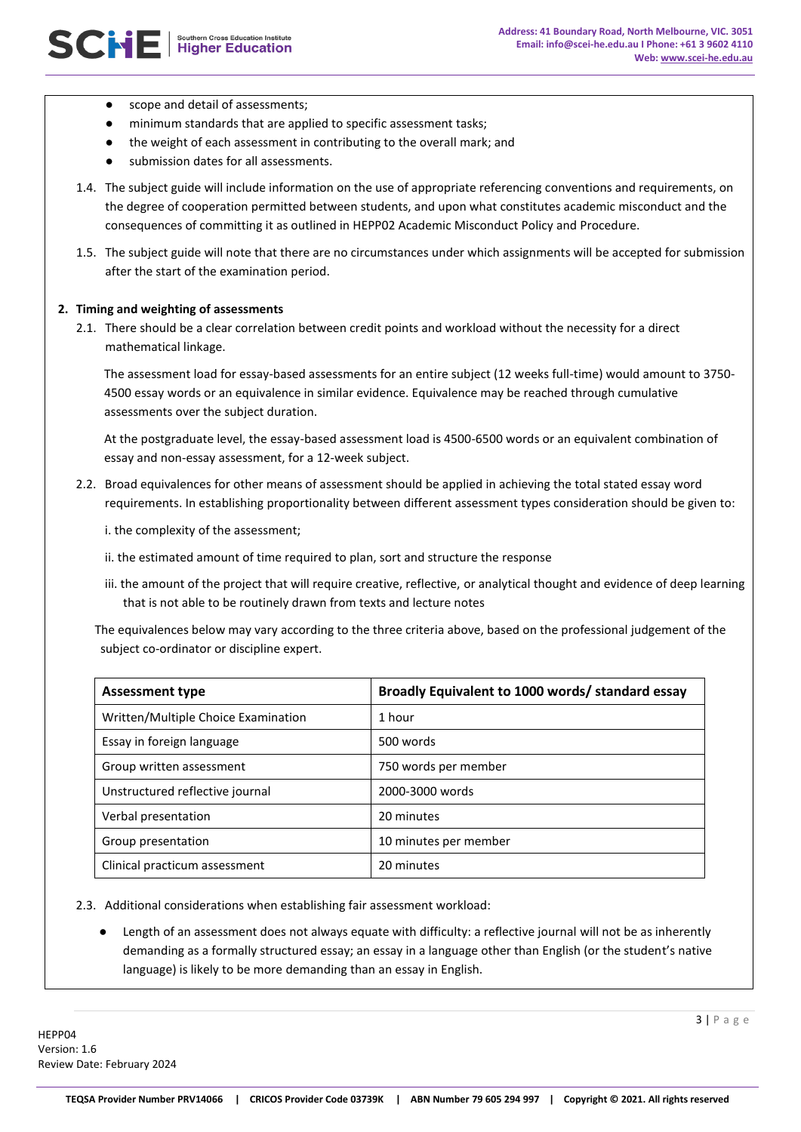- scope and detail of assessments;
- minimum standards that are applied to specific assessment tasks;
- the weight of each assessment in contributing to the overall mark; and
- submission dates for all assessments.
- 1.4. The subject guide will include information on the use of appropriate referencing conventions and requirements, on the degree of cooperation permitted between students, and upon what constitutes academic misconduct and the consequences of committing it as outlined in HEPP02 Academic Misconduct Policy and Procedure.
- 1.5. The subject guide will note that there are no circumstances under which assignments will be accepted for submission after the start of the examination period.

## **2. Timing and weighting of assessments**

2.1. There should be a clear correlation between credit points and workload without the necessity for a direct mathematical linkage.

The assessment load for essay-based assessments for an entire subject (12 weeks full-time) would amount to 3750- 4500 essay words or an equivalence in similar evidence. Equivalence may be reached through cumulative assessments over the subject duration.

At the postgraduate level, the essay-based assessment load is 4500-6500 words or an equivalent combination of essay and non-essay assessment, for a 12-week subject.

2.2. Broad equivalences for other means of assessment should be applied in achieving the total stated essay word requirements. In establishing proportionality between different assessment types consideration should be given to:

i. the complexity of the assessment;

- ii. the estimated amount of time required to plan, sort and structure the response
- iii. the amount of the project that will require creative, reflective, or analytical thought and evidence of deep learning that is not able to be routinely drawn from texts and lecture notes

 The equivalences below may vary according to the three criteria above, based on the professional judgement of the subject co-ordinator or discipline expert.

| <b>Assessment type</b>              | Broadly Equivalent to 1000 words/ standard essay |
|-------------------------------------|--------------------------------------------------|
| Written/Multiple Choice Examination | 1 hour                                           |
| Essay in foreign language           | 500 words                                        |
| Group written assessment            | 750 words per member                             |
| Unstructured reflective journal     | 2000-3000 words                                  |
| Verbal presentation                 | 20 minutes                                       |
| Group presentation                  | 10 minutes per member                            |
| Clinical practicum assessment       | 20 minutes                                       |

2.3. Additional considerations when establishing fair assessment workload:

Length of an assessment does not always equate with difficulty: a reflective journal will not be as inherently demanding as a formally structured essay; an essay in a language other than English (or the student's native language) is likely to be more demanding than an essay in English.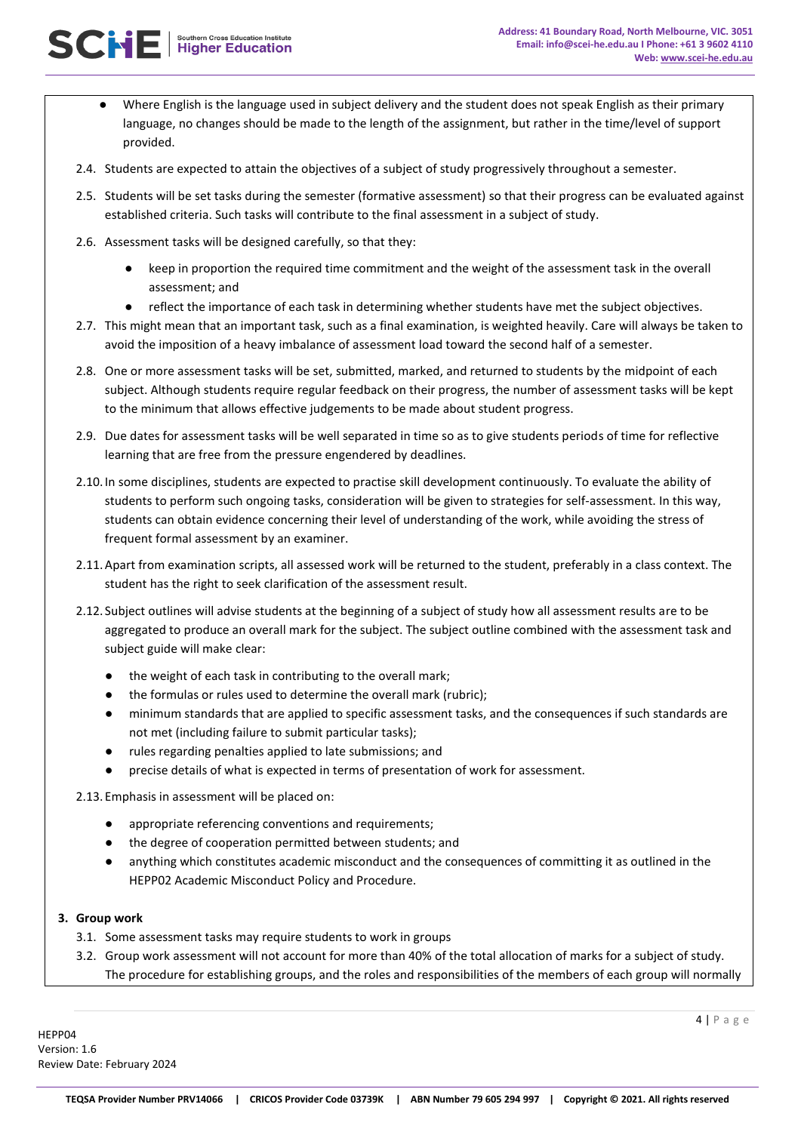- Where English is the language used in subject delivery and the student does not speak English as their primary language, no changes should be made to the length of the assignment, but rather in the time/level of support provided.
- 2.4. Students are expected to attain the objectives of a subject of study progressively throughout a semester.
- 2.5. Students will be set tasks during the semester (formative assessment) so that their progress can be evaluated against established criteria. Such tasks will contribute to the final assessment in a subject of study.
- 2.6. Assessment tasks will be designed carefully, so that they:
	- keep in proportion the required time commitment and the weight of the assessment task in the overall assessment; and
	- reflect the importance of each task in determining whether students have met the subject objectives.
- 2.7. This might mean that an important task, such as a final examination, is weighted heavily. Care will always be taken to avoid the imposition of a heavy imbalance of assessment load toward the second half of a semester.
- 2.8. One or more assessment tasks will be set, submitted, marked, and returned to students by the midpoint of each subject. Although students require regular feedback on their progress, the number of assessment tasks will be kept to the minimum that allows effective judgements to be made about student progress.
- 2.9. Due dates for assessment tasks will be well separated in time so as to give students periods of time for reflective learning that are free from the pressure engendered by deadlines.
- 2.10. In some disciplines, students are expected to practise skill development continuously. To evaluate the ability of students to perform such ongoing tasks, consideration will be given to strategies for self-assessment. In this way, students can obtain evidence concerning their level of understanding of the work, while avoiding the stress of frequent formal assessment by an examiner.
- 2.11.Apart from examination scripts, all assessed work will be returned to the student, preferably in a class context. The student has the right to seek clarification of the assessment result.
- 2.12. Subject outlines will advise students at the beginning of a subject of study how all assessment results are to be aggregated to produce an overall mark for the subject. The subject outline combined with the assessment task and subject guide will make clear:
	- the weight of each task in contributing to the overall mark;
	- the formulas or rules used to determine the overall mark (rubric);
	- minimum standards that are applied to specific assessment tasks, and the consequences if such standards are not met (including failure to submit particular tasks);
	- rules regarding penalties applied to late submissions; and
	- precise details of what is expected in terms of presentation of work for assessment.

2.13. Emphasis in assessment will be placed on:

- appropriate referencing conventions and requirements;
- the degree of cooperation permitted between students; and
- anything which constitutes academic misconduct and the consequences of committing it as outlined in the HEPP02 Academic Misconduct Policy and Procedure.

## **3. Group work**

- 3.1. Some assessment tasks may require students to work in groups
- 3.2. Group work assessment will not account for more than 40% of the total allocation of marks for a subject of study. The procedure for establishing groups, and the roles and responsibilities of the members of each group will normally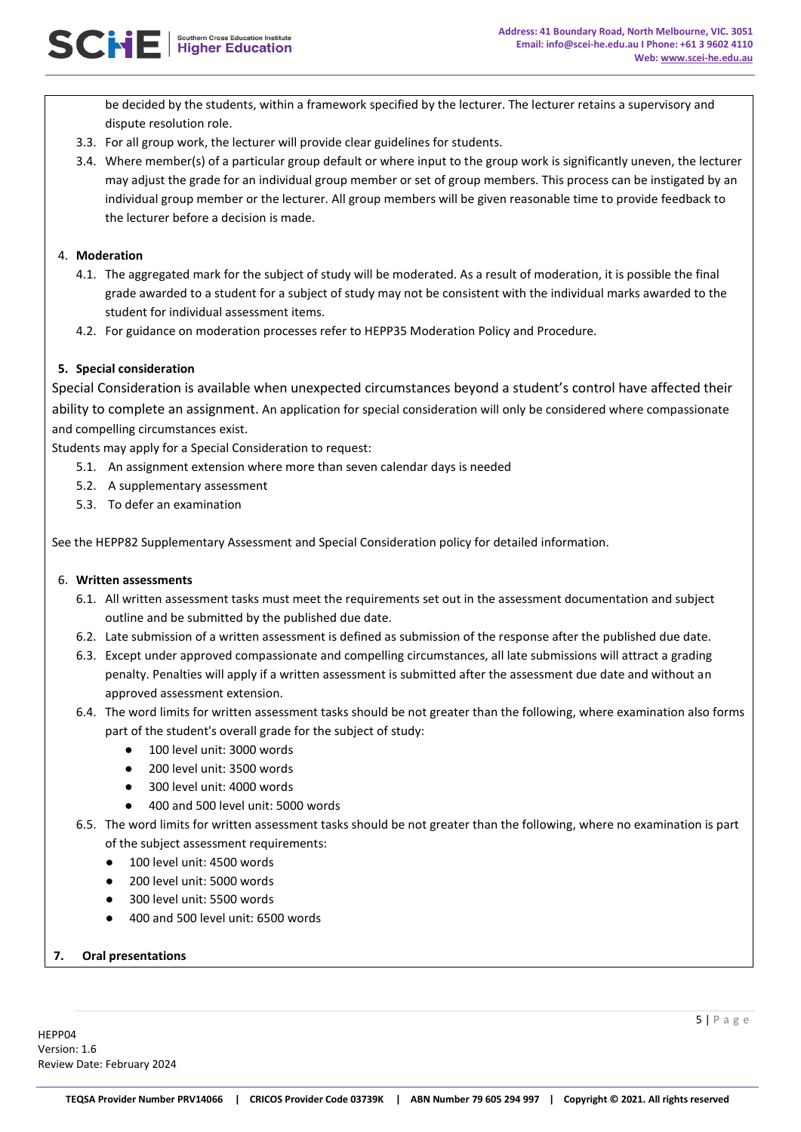be decided by the students, within a framework specified by the lecturer. The lecturer retains a supervisory and dispute resolution role.

- 3.3. For all group work, the lecturer will provide clear guidelines for students.
- 3.4. Where member(s) of a particular group default or where input to the group work is significantly uneven, the lecturer may adjust the grade for an individual group member or set of group members. This process can be instigated by an individual group member or the lecturer. All group members will be given reasonable time to provide feedback to the lecturer before a decision is made.

## 4. **Moderation**

- 4.1. The aggregated mark for the subject of study will be moderated. As a result of moderation, it is possible the final grade awarded to a student for a subject of study may not be consistent with the individual marks awarded to the student for individual assessment items.
- 4.2. For guidance on moderation processes refer to HEPP35 Moderation Policy and Procedure.

## **5. Special consideration**

Special Consideration is available when unexpected circumstances beyond a student's control have affected their ability to complete an assignment. An application for special consideration will only be considered where compassionate and compelling circumstances exist.

Students may apply for a Special Consideration to request:

- 5.1. An assignment extension where more than seven calendar days is needed
- 5.2. A supplementary assessment

**CALE** Southern Cross Education Institute

5.3. To defer an examination

See the HEPP82 Supplementary Assessment and Special Consideration policy for detailed information.

#### 6. **Written assessments**

- 6.1. All written assessment tasks must meet the requirements set out in the assessment documentation and subject outline and be submitted by the published due date.
- 6.2. Late submission of a written assessment is defined as submission of the response after the published due date.
- 6.3. Except under approved compassionate and compelling circumstances, all late submissions will attract a grading penalty. Penalties will apply if a written assessment is submitted after the assessment due date and without an approved assessment extension.
- 6.4. The word limits for written assessment tasks should be not greater than the following, where examination also forms part of the student's overall grade for the subject of study:
	- 100 level unit: 3000 words
	- 200 level unit: 3500 words
	- 300 level unit: 4000 words
	- 400 and 500 level unit: 5000 words
- 6.5. The word limits for written assessment tasks should be not greater than the following, where no examination is part of the subject assessment requirements:
	- 100 level unit: 4500 words
	- 200 level unit: 5000 words
	- 300 level unit: 5500 words
	- 400 and 500 level unit: 6500 words

## **7. Oral presentations**

HEPP04 Version: 1.6 Review Date: February 2024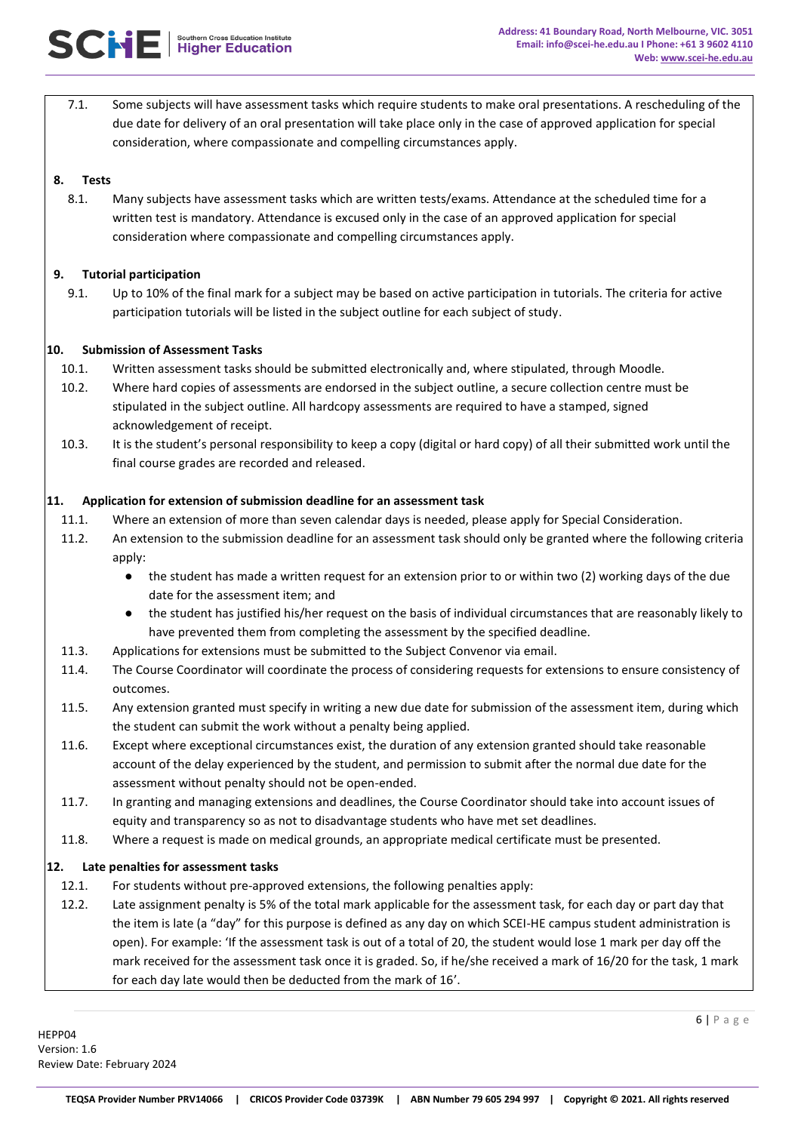7.1. Some subjects will have assessment tasks which require students to make oral presentations. A rescheduling of the due date for delivery of an oral presentation will take place only in the case of approved application for special consideration, where compassionate and compelling circumstances apply.

### **8. Tests**

8.1. Many subjects have assessment tasks which are written tests/exams. Attendance at the scheduled time for a written test is mandatory. Attendance is excused only in the case of an approved application for special consideration where compassionate and compelling circumstances apply.

### **9. Tutorial participation**

9.1. Up to 10% of the final mark for a subject may be based on active participation in tutorials. The criteria for active participation tutorials will be listed in the subject outline for each subject of study.

#### **10. Submission of Assessment Tasks**

**THE SOUTHER SOUTHER** Cross Education Institute

- 10.1. Written assessment tasks should be submitted electronically and, where stipulated, through Moodle.
- 10.2. Where hard copies of assessments are endorsed in the subject outline, a secure collection centre must be stipulated in the subject outline. All hardcopy assessments are required to have a stamped, signed acknowledgement of receipt.
- 10.3. It is the student's personal responsibility to keep a copy (digital or hard copy) of all their submitted work until the final course grades are recorded and released.

#### **11. Application for extension of submission deadline for an assessment task**

- 11.1. Where an extension of more than seven calendar days is needed, please apply for Special Consideration.
- 11.2. An extension to the submission deadline for an assessment task should only be granted where the following criteria apply:
	- the student has made a written request for an extension prior to or within two (2) working days of the due date for the assessment item; and
	- the student has justified his/her request on the basis of individual circumstances that are reasonably likely to have prevented them from completing the assessment by the specified deadline.
- 11.3. Applications for extensions must be submitted to the Subject Convenor via email.
- 11.4. The Course Coordinator will coordinate the process of considering requests for extensions to ensure consistency of outcomes.
- 11.5. Any extension granted must specify in writing a new due date for submission of the assessment item, during which the student can submit the work without a penalty being applied.
- 11.6. Except where exceptional circumstances exist, the duration of any extension granted should take reasonable account of the delay experienced by the student, and permission to submit after the normal due date for the assessment without penalty should not be open-ended.
- 11.7. In granting and managing extensions and deadlines, the Course Coordinator should take into account issues of equity and transparency so as not to disadvantage students who have met set deadlines.
- 11.8. Where a request is made on medical grounds, an appropriate medical certificate must be presented.

## **12. Late penalties for assessment tasks**

- 12.1. For students without pre-approved extensions, the following penalties apply:
- 12.2. Late assignment penalty is 5% of the total mark applicable for the assessment task, for each day or part day that the item is late (a "day" for this purpose is defined as any day on which SCEI-HE campus student administration is open). For example: 'If the assessment task is out of a total of 20, the student would lose 1 mark per day off the mark received for the assessment task once it is graded. So, if he/she received a mark of 16/20 for the task, 1 mark for each day late would then be deducted from the mark of 16'.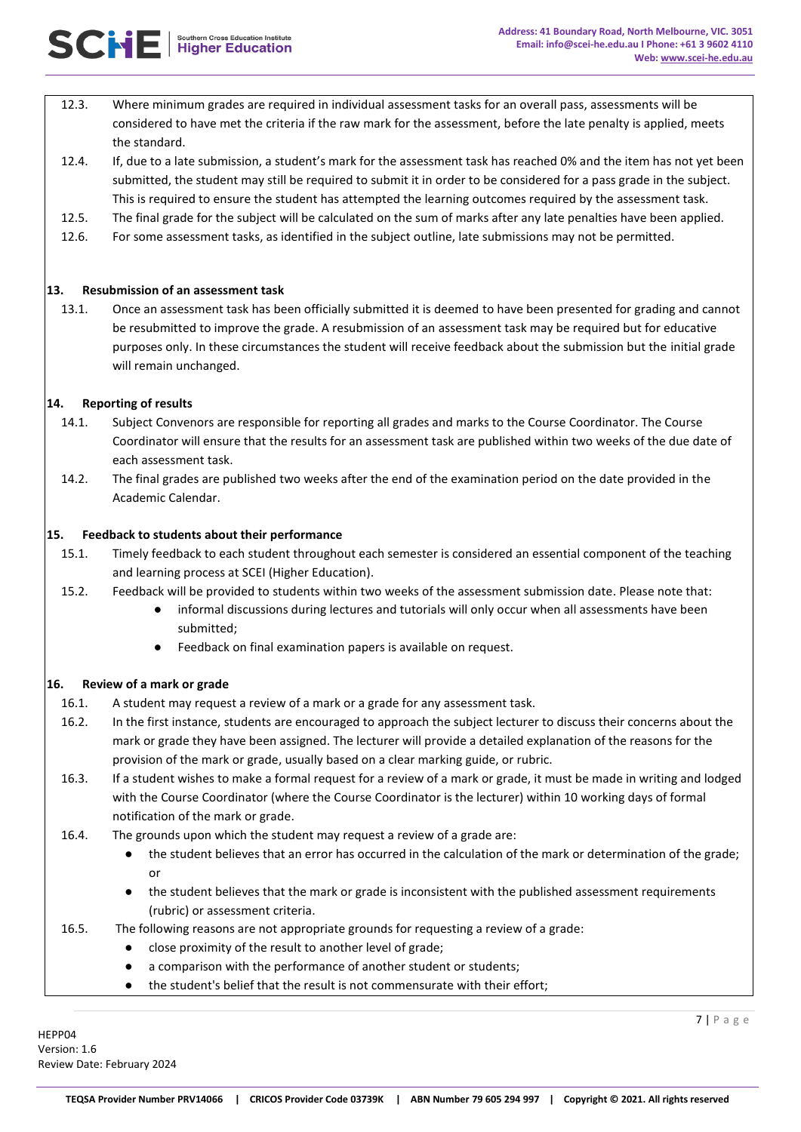12.3. Where minimum grades are required in individual assessment tasks for an overall pass, assessments will be considered to have met the criteria if the raw mark for the assessment, before the late penalty is applied, meets the standard.

- 12.4. If, due to a late submission, a student's mark for the assessment task has reached 0% and the item has not yet been submitted, the student may still be required to submit it in order to be considered for a pass grade in the subject. This is required to ensure the student has attempted the learning outcomes required by the assessment task.
- 12.5. The final grade for the subject will be calculated on the sum of marks after any late penalties have been applied.
- 12.6. For some assessment tasks, as identified in the subject outline, late submissions may not be permitted.

## **13. Resubmission of an assessment task**

13.1. Once an assessment task has been officially submitted it is deemed to have been presented for grading and cannot be resubmitted to improve the grade. A resubmission of an assessment task may be required but for educative purposes only. In these circumstances the student will receive feedback about the submission but the initial grade will remain unchanged.

#### **14. Reporting of results**

- 14.1. Subject Convenors are responsible for reporting all grades and marks to the Course Coordinator. The Course Coordinator will ensure that the results for an assessment task are published within two weeks of the due date of each assessment task.
- 14.2. The final grades are published two weeks after the end of the examination period on the date provided in the Academic Calendar.

#### **15. Feedback to students about their performance**

- 15.1. Timely feedback to each student throughout each semester is considered an essential component of the teaching and learning process at SCEI (Higher Education).
- 15.2. Feedback will be provided to students within two weeks of the assessment submission date. Please note that:
	- informal discussions during lectures and tutorials will only occur when all assessments have been submitted;
	- Feedback on final examination papers is available on request.

#### **16. Review of a mark or grade**

- 16.1. A student may request a review of a mark or a grade for any assessment task.
- 16.2. In the first instance, students are encouraged to approach the subject lecturer to discuss their concerns about the mark or grade they have been assigned. The lecturer will provide a detailed explanation of the reasons for the provision of the mark or grade, usually based on a clear marking guide, or rubric.
- 16.3. If a student wishes to make a formal request for a review of a mark or grade, it must be made in writing and lodged with the Course Coordinator (where the Course Coordinator is the lecturer) within 10 working days of formal notification of the mark or grade.
- 16.4. The grounds upon which the student may request a review of a grade are:
	- the student believes that an error has occurred in the calculation of the mark or determination of the grade; or
	- the student believes that the mark or grade is inconsistent with the published assessment requirements (rubric) or assessment criteria.
- 16.5. The following reasons are not appropriate grounds for requesting a review of a grade:
	- close proximity of the result to another level of grade;
	- a comparison with the performance of another student or students;
	- the student's belief that the result is not commensurate with their effort;

HEPP04 Version: 1.6 Review Date: February 2024 Southern Cross Education Institute<br>
Higher Education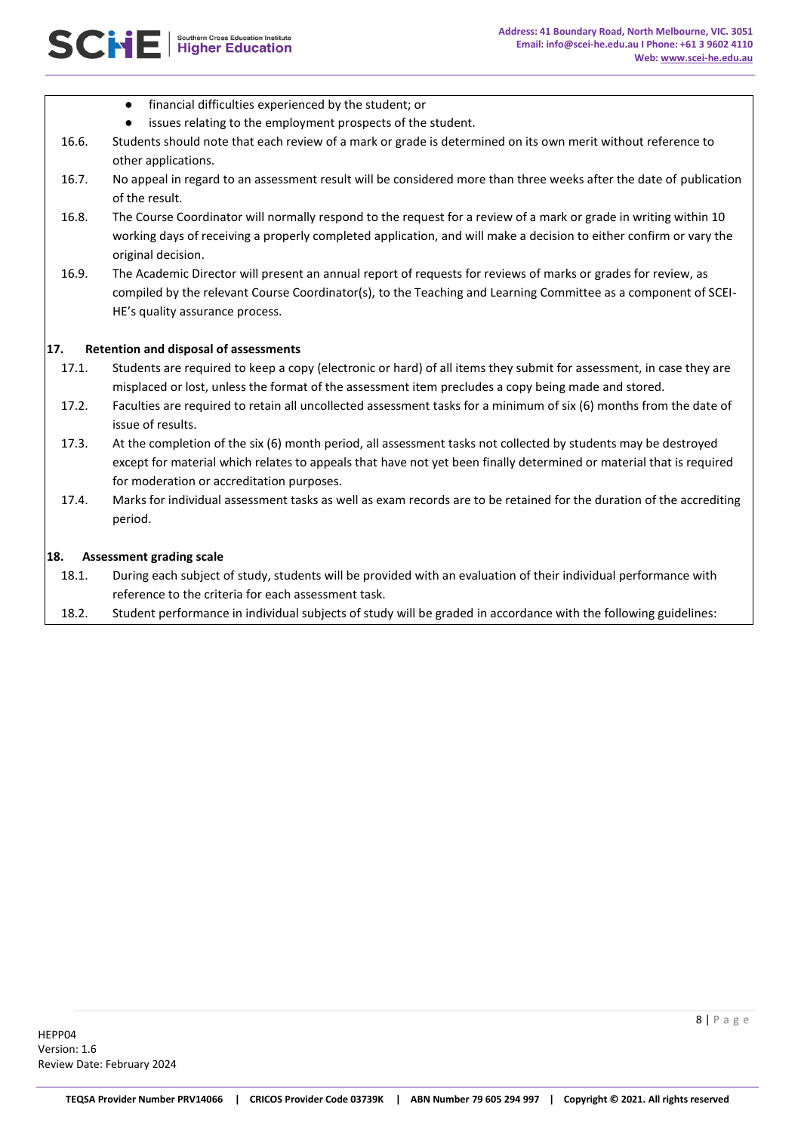

- financial difficulties experienced by the student; or
- issues relating to the employment prospects of the student.
- 16.6. Students should note that each review of a mark or grade is determined on its own merit without reference to other applications.
- 16.7. No appeal in regard to an assessment result will be considered more than three weeks after the date of publication of the result.
- 16.8. The Course Coordinator will normally respond to the request for a review of a mark or grade in writing within 10 working days of receiving a properly completed application, and will make a decision to either confirm or vary the original decision.
- 16.9. The Academic Director will present an annual report of requests for reviews of marks or grades for review, as compiled by the relevant Course Coordinator(s), to the Teaching and Learning Committee as a component of SCEI-HE's quality assurance process.

## **17. Retention and disposal of assessments**

- 17.1. Students are required to keep a copy (electronic or hard) of all items they submit for assessment, in case they are misplaced or lost, unless the format of the assessment item precludes a copy being made and stored.
- 17.2. Faculties are required to retain all uncollected assessment tasks for a minimum of six (6) months from the date of issue of results.
- 17.3. At the completion of the six (6) month period, all assessment tasks not collected by students may be destroyed except for material which relates to appeals that have not yet been finally determined or material that is required for moderation or accreditation purposes.
- 17.4. Marks for individual assessment tasks as well as exam records are to be retained for the duration of the accrediting period.

## **18. Assessment grading scale**

- 18.1. During each subject of study, students will be provided with an evaluation of their individual performance with reference to the criteria for each assessment task.
- 18.2. Student performance in individual subjects of study will be graded in accordance with the following guidelines: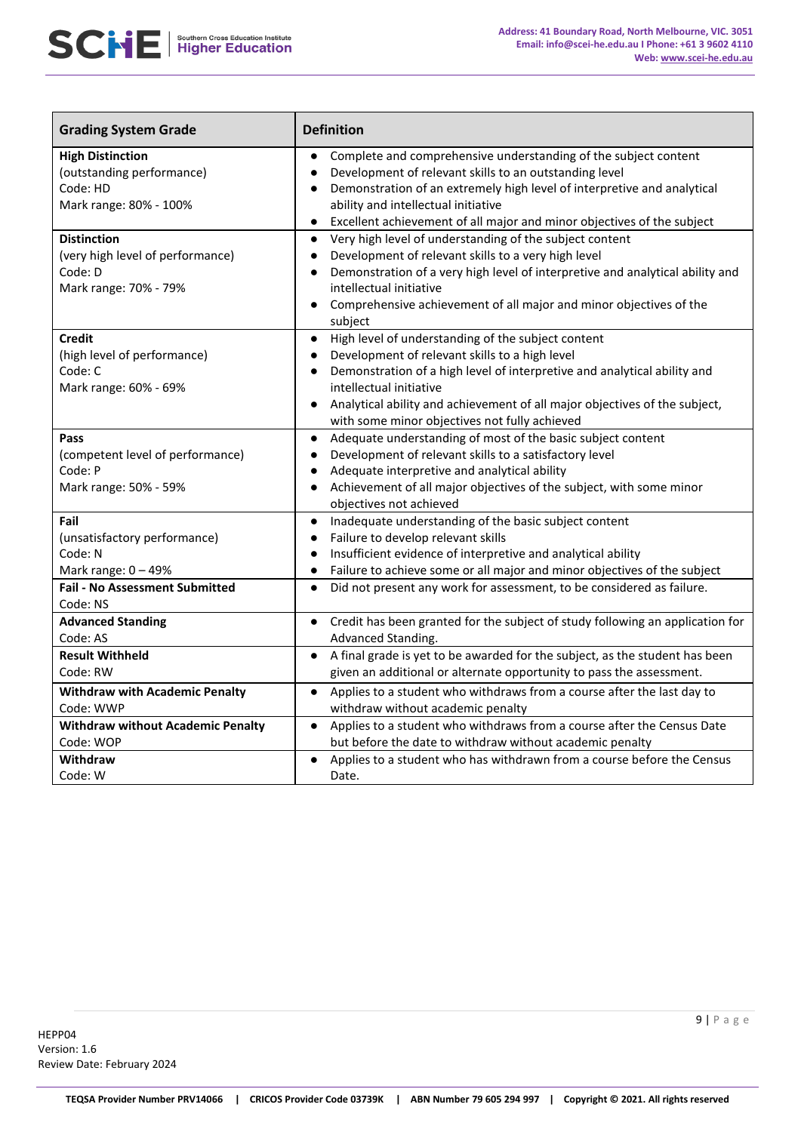| <b>Grading System Grade</b>                                                                                                   | <b>Definition</b>                                                                                                                                                                                                                                                                                                                                                                                          |
|-------------------------------------------------------------------------------------------------------------------------------|------------------------------------------------------------------------------------------------------------------------------------------------------------------------------------------------------------------------------------------------------------------------------------------------------------------------------------------------------------------------------------------------------------|
| <b>High Distinction</b><br>(outstanding performance)<br>Code: HD<br>Mark range: 80% - 100%<br><b>Distinction</b>              | Complete and comprehensive understanding of the subject content<br>Development of relevant skills to an outstanding level<br>Demonstration of an extremely high level of interpretive and analytical<br>ability and intellectual initiative<br>Excellent achievement of all major and minor objectives of the subject<br>$\bullet$<br>Very high level of understanding of the subject content<br>$\bullet$ |
| (very high level of performance)<br>Code: D<br>Mark range: 70% - 79%                                                          | Development of relevant skills to a very high level<br>$\bullet$<br>Demonstration of a very high level of interpretive and analytical ability and<br>intellectual initiative<br>Comprehensive achievement of all major and minor objectives of the<br>subject                                                                                                                                              |
| <b>Credit</b><br>(high level of performance)<br>Code: C<br>Mark range: 60% - 69%                                              | High level of understanding of the subject content<br>$\bullet$<br>Development of relevant skills to a high level<br>Demonstration of a high level of interpretive and analytical ability and<br>intellectual initiative<br>Analytical ability and achievement of all major objectives of the subject,<br>with some minor objectives not fully achieved                                                    |
| Pass<br>(competent level of performance)<br>Code: P<br>Mark range: 50% - 59%                                                  | Adequate understanding of most of the basic subject content<br>$\bullet$<br>Development of relevant skills to a satisfactory level<br>Adequate interpretive and analytical ability<br>$\bullet$<br>Achievement of all major objectives of the subject, with some minor<br>objectives not achieved                                                                                                          |
| Fail<br>(unsatisfactory performance)<br>Code: N<br>Mark range: $0 - 49%$<br><b>Fail - No Assessment Submitted</b><br>Code: NS | Inadequate understanding of the basic subject content<br>$\bullet$<br>Failure to develop relevant skills<br>Insufficient evidence of interpretive and analytical ability<br>$\bullet$<br>Failure to achieve some or all major and minor objectives of the subject<br>$\bullet$<br>Did not present any work for assessment, to be considered as failure.<br>$\bullet$                                       |
| <b>Advanced Standing</b><br>Code: AS<br><b>Result Withheld</b><br>Code: RW                                                    | Credit has been granted for the subject of study following an application for<br>$\bullet$<br>Advanced Standing.<br>A final grade is yet to be awarded for the subject, as the student has been<br>$\bullet$                                                                                                                                                                                               |
| <b>Withdraw with Academic Penalty</b><br>Code: WWP<br><b>Withdraw without Academic Penalty</b><br>Code: WOP                   | given an additional or alternate opportunity to pass the assessment.<br>Applies to a student who withdraws from a course after the last day to<br>$\bullet$<br>withdraw without academic penalty<br>Applies to a student who withdraws from a course after the Census Date<br>$\bullet$<br>but before the date to withdraw without academic penalty                                                        |
| Withdraw<br>Code: W                                                                                                           | Applies to a student who has withdrawn from a course before the Census<br>$\bullet$<br>Date.                                                                                                                                                                                                                                                                                                               |